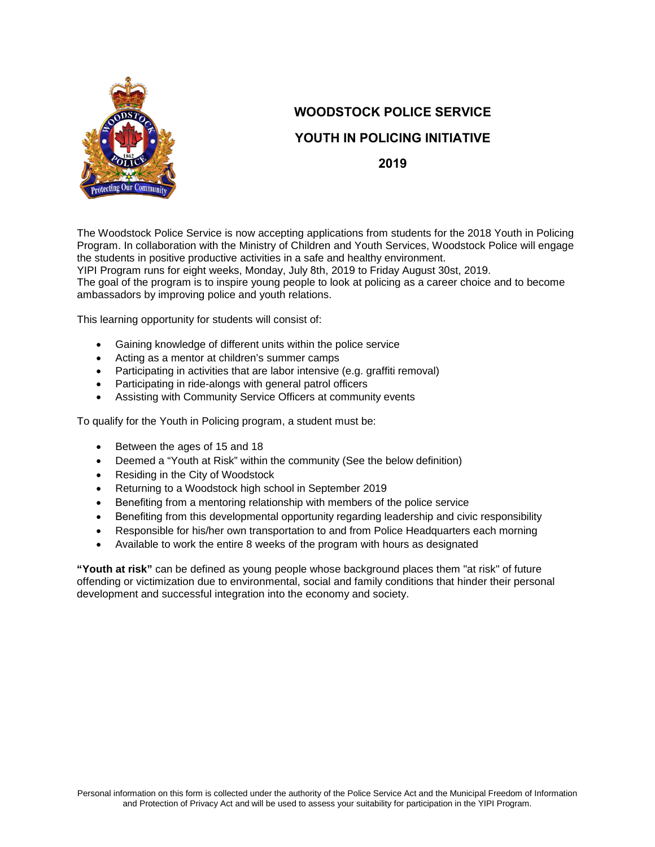

# **WOODSTOCK POLICE SERVICE YOUTH IN POLICING INITIATIVE**

**2019**

The Woodstock Police Service is now accepting applications from students for the 2018 Youth in Policing Program. In collaboration with the Ministry of Children and Youth Services, Woodstock Police will engage the students in positive productive activities in a safe and healthy environment.

YIPI Program runs for eight weeks, Monday, July 8th, 2019 to Friday August 30st, 2019. The goal of the program is to inspire young people to look at policing as a career choice and to become ambassadors by improving police and youth relations.

This learning opportunity for students will consist of:

- Gaining knowledge of different units within the police service
- Acting as a mentor at children's summer camps
- Participating in activities that are labor intensive (e.g. graffiti removal)
- Participating in ride-alongs with general patrol officers
- Assisting with Community Service Officers at community events

To qualify for the Youth in Policing program, a student must be:

- Between the ages of 15 and 18
- Deemed a "Youth at Risk" within the community (See the below definition)
- Residing in the City of Woodstock
- Returning to a Woodstock high school in September 2019
- Benefiting from a mentoring relationship with members of the police service
- Benefiting from this developmental opportunity regarding leadership and civic responsibility
- Responsible for his/her own transportation to and from Police Headquarters each morning
- Available to work the entire 8 weeks of the program with hours as designated

**"Youth at risk"** can be defined as young people whose background places them "at risk" of future offending or victimization due to environmental, social and family conditions that hinder their personal development and successful integration into the economy and society.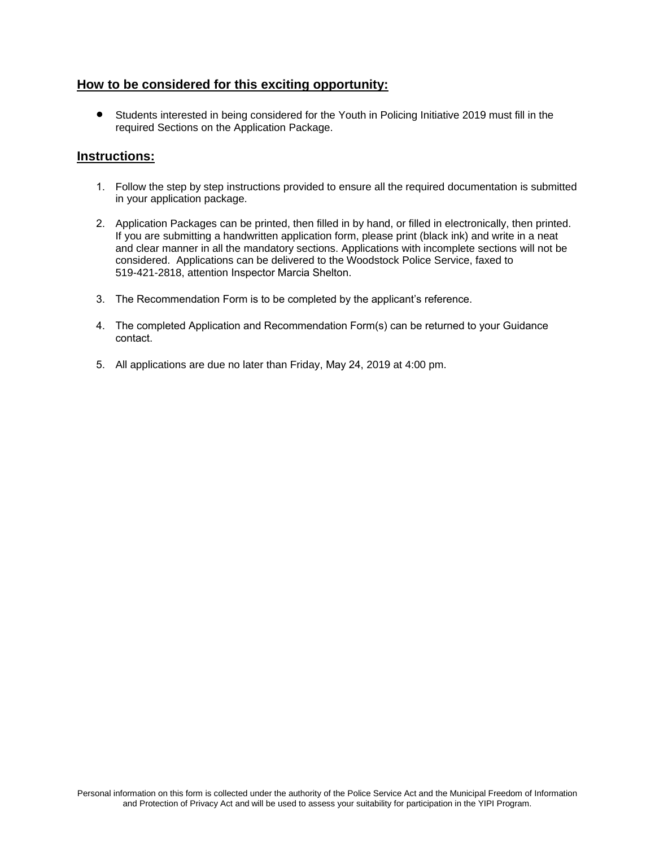#### **How to be considered for this exciting opportunity:**

• Students interested in being considered for the Youth in Policing Initiative 2019 must fill in the required Sections on the Application Package.

#### **Instructions:**

- 1. Follow the step by step instructions provided to ensure all the required documentation is submitted in your application package.
- 2. Application Packages can be printed, then filled in by hand, or filled in electronically, then printed. If you are submitting a handwritten application form, please print (black ink) and write in a neat and clear manner in all the mandatory sections. Applications with incomplete sections will not be considered. Applications can be delivered to the Woodstock Police Service, faxed to 519-421-2818, attention Inspector Marcia Shelton.
- 3. The Recommendation Form is to be completed by the applicant's reference.
- 4. The completed Application and Recommendation Form(s) can be returned to your Guidance contact.
- 5. All applications are due no later than Friday, May 24, 2019 at 4:00 pm.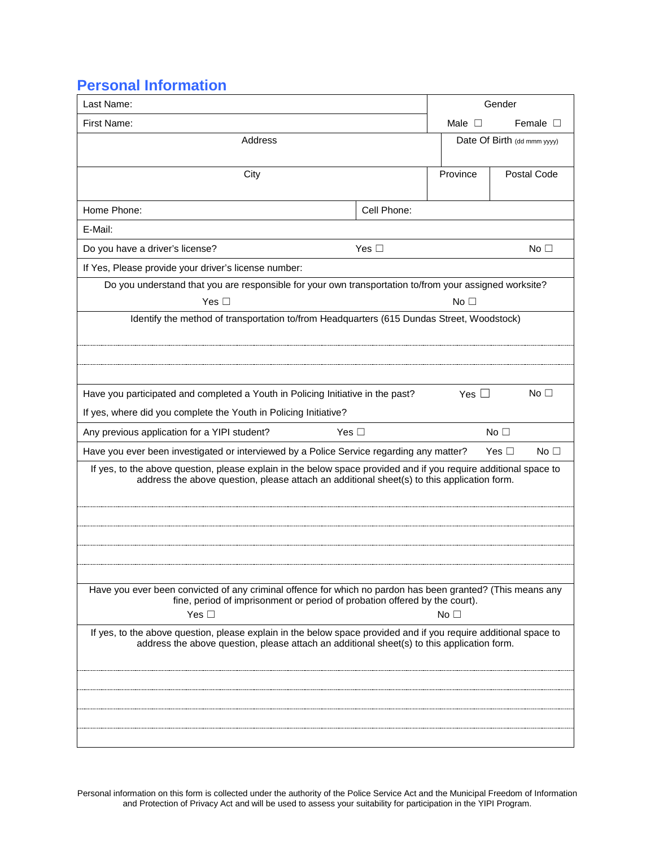#### **Personal Information**

| Last Name:                                                                                                                                                                                                     |               |                 | Gender                      |
|----------------------------------------------------------------------------------------------------------------------------------------------------------------------------------------------------------------|---------------|-----------------|-----------------------------|
| First Name:                                                                                                                                                                                                    |               | Male $\square$  | Female $\Box$               |
| Address                                                                                                                                                                                                        |               |                 | Date Of Birth (dd mmm yyyy) |
|                                                                                                                                                                                                                |               |                 |                             |
| City                                                                                                                                                                                                           |               | Province        | Postal Code                 |
| Home Phone:                                                                                                                                                                                                    | Cell Phone:   |                 |                             |
| E-Mail:                                                                                                                                                                                                        |               |                 |                             |
| Do you have a driver's license?                                                                                                                                                                                | Yes $\square$ |                 | No <sub>1</sub>             |
| If Yes, Please provide your driver's license number:                                                                                                                                                           |               |                 |                             |
| Do you understand that you are responsible for your own transportation to/from your assigned worksite?                                                                                                         |               |                 |                             |
| Yes $\square$                                                                                                                                                                                                  |               | No <sub>1</sub> |                             |
| Identify the method of transportation to/from Headquarters (615 Dundas Street, Woodstock)                                                                                                                      |               |                 |                             |
|                                                                                                                                                                                                                |               |                 |                             |
|                                                                                                                                                                                                                |               |                 |                             |
| Have you participated and completed a Youth in Policing Initiative in the past?                                                                                                                                |               | Yes $\square$   | No $\Box$                   |
| If yes, where did you complete the Youth in Policing Initiative?                                                                                                                                               |               |                 |                             |
| Any previous application for a YIPI student?<br>Yes $\Box$                                                                                                                                                     |               |                 | No <sub>1</sub>             |
| Have you ever been investigated or interviewed by a Police Service regarding any matter?                                                                                                                       |               |                 | No $\square$<br>Yes $\Box$  |
| If yes, to the above question, please explain in the below space provided and if you require additional space to                                                                                               |               |                 |                             |
| address the above question, please attach an additional sheet(s) to this application form.                                                                                                                     |               |                 |                             |
|                                                                                                                                                                                                                |               |                 |                             |
|                                                                                                                                                                                                                |               |                 |                             |
|                                                                                                                                                                                                                |               |                 |                             |
|                                                                                                                                                                                                                |               |                 |                             |
| Have you ever been convicted of any criminal offence for which no pardon has been granted? (This means any                                                                                                     |               |                 |                             |
| fine, period of imprisonment or period of probation offered by the court).                                                                                                                                     |               |                 |                             |
| Yes $\square$                                                                                                                                                                                                  |               | No <sub>1</sub> |                             |
| If yes, to the above question, please explain in the below space provided and if you require additional space to<br>address the above question, please attach an additional sheet(s) to this application form. |               |                 |                             |
|                                                                                                                                                                                                                |               |                 |                             |
|                                                                                                                                                                                                                |               |                 |                             |
|                                                                                                                                                                                                                |               |                 |                             |
|                                                                                                                                                                                                                |               |                 |                             |
|                                                                                                                                                                                                                |               |                 |                             |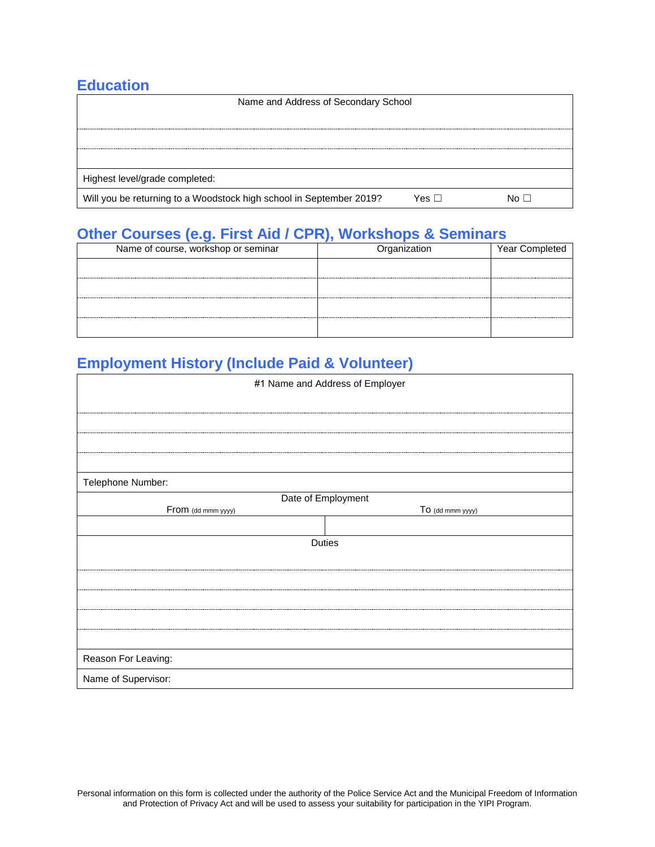#### **Education**

| Name and Address of Secondary School                                |       |  |
|---------------------------------------------------------------------|-------|--|
|                                                                     |       |  |
|                                                                     |       |  |
|                                                                     |       |  |
|                                                                     |       |  |
| Highest level/grade completed:                                      |       |  |
| Will you be returning to a Woodstock high school in September 2019? | Yes ⊡ |  |

### **Other Courses (e.g. First Aid / CPR), Workshops & Seminars**

| Name of course, workshop or seminar | Organization | Year Completed |
|-------------------------------------|--------------|----------------|
|                                     |              |                |
|                                     |              |                |
|                                     |              |                |
|                                     |              |                |
|                                     |              |                |

# **Employment History (Include Paid & Volunteer)**

| #1 Name and Address of Employer |                    |
|---------------------------------|--------------------|
|                                 |                    |
|                                 |                    |
|                                 |                    |
|                                 |                    |
| Telephone Number:               |                    |
|                                 | Date of Employment |
| From (dd mmm yyyy)              | To (dd mmm yyyy)   |
|                                 |                    |
|                                 | Duties             |
|                                 |                    |
|                                 |                    |
|                                 |                    |
|                                 |                    |
|                                 |                    |
| Reason For Leaving:             |                    |
| Name of Supervisor:             |                    |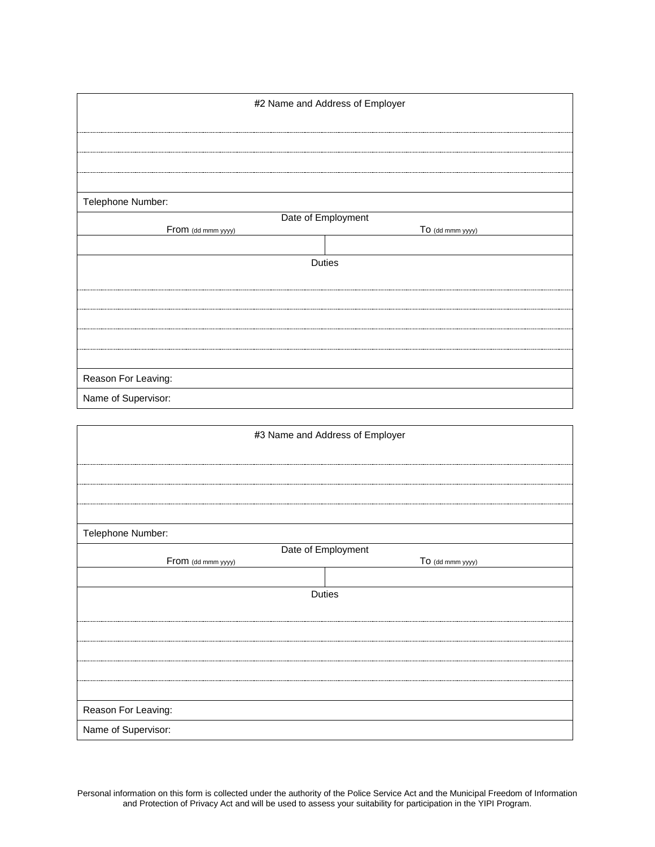| #2 Name and Address of Employer |                    |
|---------------------------------|--------------------|
|                                 |                    |
|                                 |                    |
|                                 |                    |
|                                 |                    |
| Telephone Number:               |                    |
|                                 | Date of Employment |
| From (dd mmm yyyy)              | To (dd mmm yyyy)   |
|                                 |                    |
|                                 | <b>Duties</b>      |
|                                 |                    |
|                                 |                    |
|                                 |                    |
|                                 |                    |
|                                 |                    |
| Reason For Leaving:             |                    |
| Name of Supervisor:             |                    |

| #3 Name and Address of Employer |                    |
|---------------------------------|--------------------|
|                                 |                    |
|                                 |                    |
|                                 |                    |
|                                 |                    |
| Telephone Number:               |                    |
|                                 | Date of Employment |
| From (dd mmm yyyy)              | To (dd mmm yyyy)   |
|                                 |                    |
|                                 | Duties             |
|                                 |                    |
|                                 |                    |
|                                 |                    |
|                                 |                    |
|                                 |                    |
| Reason For Leaving:             |                    |
| Name of Supervisor:             |                    |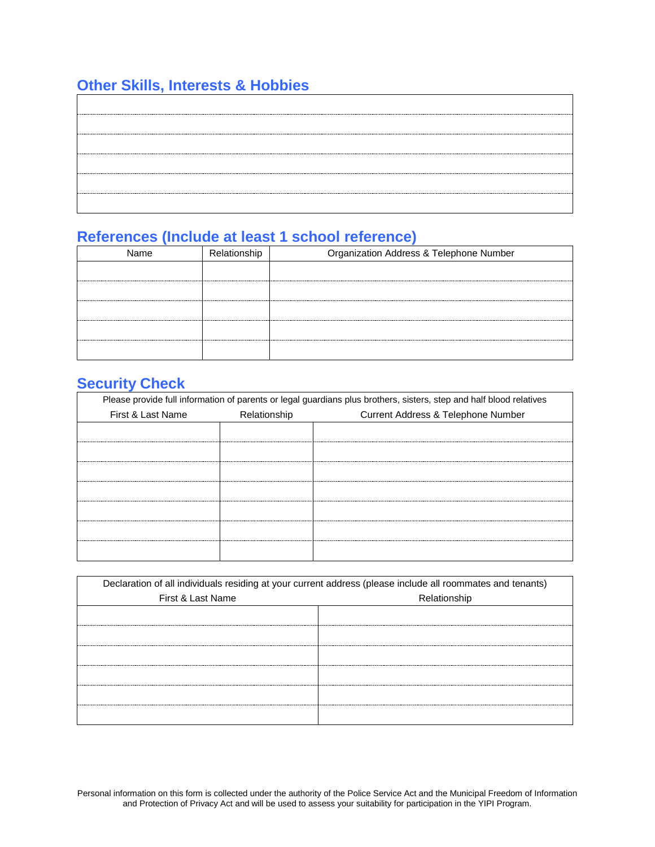# **Other Skills, Interests & Hobbies**

#### **References (Include at least 1 school reference)**

| Name | Relationship | Organization Address & Telephone Number |
|------|--------------|-----------------------------------------|
|      |              |                                         |
|      |              |                                         |
|      |              |                                         |
|      |              |                                         |
|      |              |                                         |

# **Security Check**

|                   | Please provide full information of parents or legal guardians plus brothers, sisters, step and half blood relatives |                                    |
|-------------------|---------------------------------------------------------------------------------------------------------------------|------------------------------------|
| First & Last Name | Relationship                                                                                                        | Current Address & Telephone Number |
|                   |                                                                                                                     |                                    |
|                   |                                                                                                                     |                                    |
|                   | --------------------------                                                                                          |                                    |
|                   |                                                                                                                     |                                    |
|                   |                                                                                                                     |                                    |
|                   |                                                                                                                     |                                    |
|                   |                                                                                                                     |                                    |

| Declaration of all individuals residing at your current address (please include all roommates and tenants) |              |
|------------------------------------------------------------------------------------------------------------|--------------|
| First & Last Name                                                                                          | Relationship |
|                                                                                                            |              |
|                                                                                                            |              |
|                                                                                                            |              |
|                                                                                                            |              |
|                                                                                                            |              |
|                                                                                                            |              |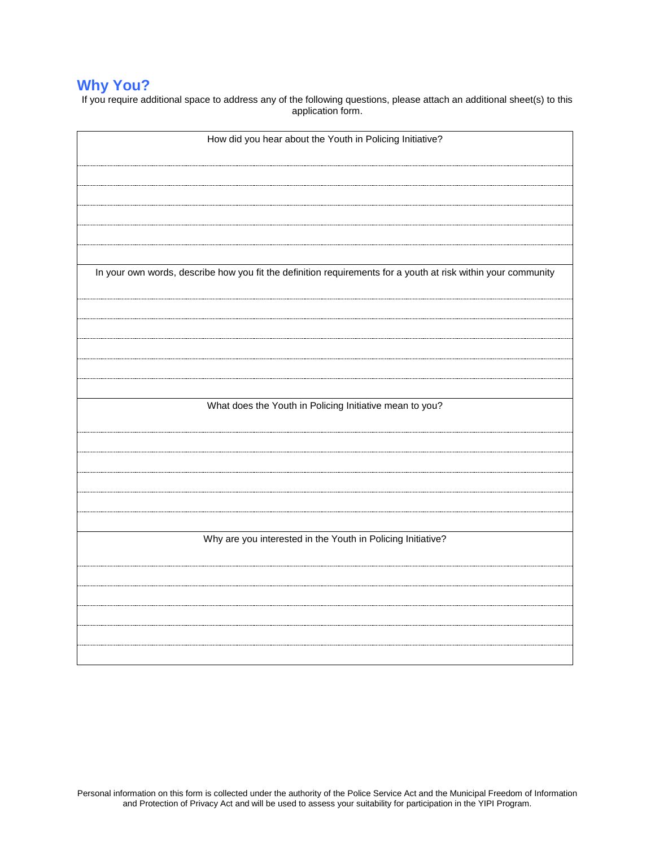# **Why You?**

If you require additional space to address any of the following questions, please attach an additional sheet(s) to this application form.

| How did you hear about the Youth in Policing Initiative?                                                      |
|---------------------------------------------------------------------------------------------------------------|
|                                                                                                               |
|                                                                                                               |
|                                                                                                               |
|                                                                                                               |
|                                                                                                               |
|                                                                                                               |
|                                                                                                               |
| In your own words, describe how you fit the definition requirements for a youth at risk within your community |
|                                                                                                               |
|                                                                                                               |
|                                                                                                               |
|                                                                                                               |
|                                                                                                               |
|                                                                                                               |
| What does the Youth in Policing Initiative mean to you?                                                       |
|                                                                                                               |
|                                                                                                               |
|                                                                                                               |
|                                                                                                               |
|                                                                                                               |
|                                                                                                               |
|                                                                                                               |
| Why are you interested in the Youth in Policing Initiative?                                                   |
|                                                                                                               |
|                                                                                                               |
|                                                                                                               |
|                                                                                                               |
|                                                                                                               |
|                                                                                                               |
|                                                                                                               |